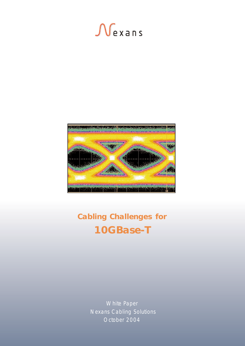



# **Cabling Challenges for 10GBase-T**

White Paper Nexans Cabling Solutions October 2004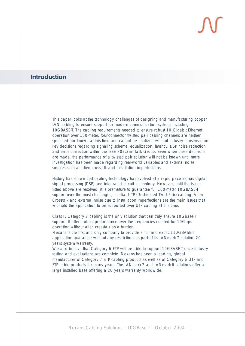### **Introduction**

*This paper looks at the technology challenges of designing and manufacturing copper LAN cabling to ensure support for modern communication systems including 10GBASE-T. The cabling requirements needed to ensure robust 10 Gigabit Ethernet operation over 100-meter, four-connector twisted pair cabling channels are neither specified nor known at this time and cannot be finalized without industry consensus on key decisions regarding signaling scheme, equalization, latency, DSP noise reduction and error correction within the IEEE 802.3an Task Group. Even when these decisions are made, the performance of a twisted pair solution will not be known until more investigation has been made regarding real-world variables and external noise sources such as alien crosstalk and installation imperfections.* 

*History has shown that cabling technology has evolved at a rapid pace as has digital signal processing (DSP) and integrated circuit technology. However, until the issues listed above are resolved, it is premature to guarantee full 100-meter 10GBASE-T support over the most challenging media, UTP (Unshielded Twist Pair) cabling. Alien Crosstalk and external noise due to installation imperfections are the main issues that withhold the application to be supported over UTP cabling at this time.*

*Class F/Category 7 cabling is the only solution that can truly ensure 10Gbase-T support. It offers robust performance over the frequencies needed for 10Gbps operation without alien crosstalk as a burden.* 

*Nexans is the first and only company to provide a full and explicit 10GBASE-T application guarantee without any restrictions as part of its LANmark-7 solution 20 years system warranty.*

*We also believe that Category 6 FTP will be able to support 10GBASE-T once industry testing and evaluations are complete. Nexans has been a leading, global manufacturer of Category 7 STP cabling products as well as of Category 6 UTP and FTP cable products for many years. The LANmark-7 and LANmark-6 solutions offer a large installed base offering a 20 years warranty worldwide.*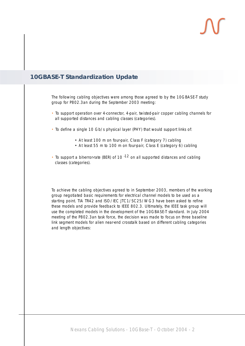### **10GBASE-T Standardization Update**

The following cabling objectives were among those agreed to by the 10GBASE-T study group for P802.3an during the September 2003 meeting:

- To support operation over 4-connector, 4-pair, twisted-pair copper cabling channels for all supported distances and cabling classes (categories).
- To define a single 10 Gb/s physical layer (PHY) that would support links of:
	- At least 100 m on four-pair, Class F (category 7) cabling
	- At least 55 m to 100 m on four-pair, Class E (category 6) cabling
- To support a bit-error-rate (BER) of 10 $^{-12}$  on all supported distances and cabling classes (categories).

To achieve the cabling objectives agreed to in September 2003, members of the working group negotiated basic requirements for electrical channel models to be used as a starting point. TIA TR42 and ISO/IEC JTC1/SC25/WG3 have been asked to refine these models and provide feedback to IEEE 802.3. Ultimately, the IEEE task group will use the completed models in the development of the 10GBASE-T standard. In July 2004 meeting of the P802.3an task force, the decision was made to focus on three baseline link segment models for alien near-end crosstalk based on different cabling categories and length objectives: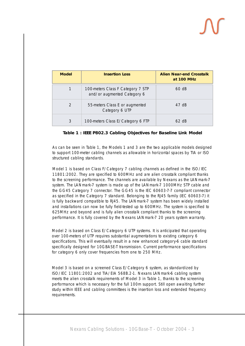| <b>Model</b>  | <b>Insertion Loss</b>                                            | <b>Alien Near-end Crosstalk</b><br>at 100 MHz |
|---------------|------------------------------------------------------------------|-----------------------------------------------|
| 1             | 100-meters Class F Category 7 STP<br>and/or augmented Category 6 | 60 dB                                         |
| $\mathcal{D}$ | 55-meters Class E or augmented<br>Category 6 UTP                 | 47 dB                                         |
| 3             | 100-meters Class E/Category 6 FTP                                | 62 dB                                         |

### **Table 1 : IEEE P802.3 Cabling Objectives for Baseline Link Model**

As can be seen in Table 1, the Models 1 and 3 are the two applicable models designed to support 100-meter cabling channels as allowable in horizontal spaces by TIA or ISO structured cabling standards.

Model 1 is based on Class F/Category 7 cabling channels as defined in the ISO/IEC 11801:2002. They are specified to 600MHz and are alien crosstalk compliant thanks to the screening performance. The channels are available by Nexans as the LANmark-7 system. The LANmark-7 system is made up of the LANmark-7 1000MHz STP cable and the GG45 Category 7 connector. The GG45 is the IEC 60603-7-7 compliant connector as specified in the Category 7 standard. Belonging to the RJ45 family (IEC 60603-7) it is fully backward compatible to RJ45. The LANmark-7 system has been widely installed and installations can now be fully field-tested up to 600MHz. The system is specified to 625MHz and beyond and is fully alien crosstalk compliant thanks to the screening performance. It is fully covered by the Nexans LANmark-7 20 years system warranty.

Model 2 is based on Class E/Category 6 UTP systems. It is anticipated that operating over 100-meters of UTP requires substantial augmentations to existing category 6 specifications. This will eventually result in a new enhanced category-6 cable standard specifically designed for 10GBASE-T transmission. Current performance specifications for category 6 only cover frequencies from one to 250 MHz.

Model 3 is based on a screened Class E/Category 6 system, as standardized by ISO/IEC 11801:2002 and TIA/EIA 568B.2-1. Nexans LANmark-6 cabling system meets the alien crosstalk requirements of Model 3 in Table 1, thanks to the screening performance which is necessary for the full 100m support. Still open awaiting further study within IEEE and cabling committees is the insertion loss and extended frequency requirements.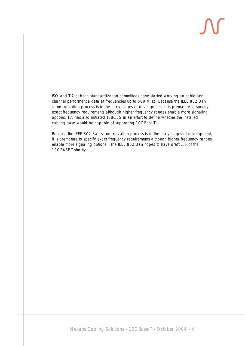ISO and TIA cabling standardization committees have started working on cable and channel performance data at frequencies up to 500 MHz. Because the IEEE 802.3an standardization process is in the early stages of development, it is premature to specify exact frequency requirements although higher frequency ranges enable more signaling options. TIA has also initiated TSB-155 in an effort to define whether the installed cabling base would be capable of supporting 10GBase-T.

Because the IEEE 802.3an standardization process is in the early stages of development, it is premature to specify exact frequency requirements although higher frequency ranges enable more signaling options. The IEEE 802.3an hopes to have draft 1.0 of the 10GBASE-T shortly.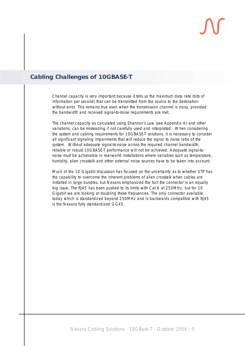### **Cabling Challenges of 10GBASE-T**

Channel capacity is very important because it tells us the maximum data rate (bits of information per second) that can be transmitted from the source to the destination without error. This remains true even when the transmission channel is noisy, provided the bandwidth and received signal-to-noise requirements are met.

The channel capacity as calculated using Shannon's Law (see Appendix A) and other variations, can be misleading if not carefully used and interpreted. When considering the system and cabling requirements for 10GBASE-T solutions, it is necessary to consider all significant signaling impairments that will reduce the signal to noise ratio of the system. Without adequate signal-to-noise across the required channel bandwidth, reliable or robust 10GBASE-T performance will not be achieved. Adequate signal-tonoise must be achievable in real-world installations where variables such as temperature, humidity, alien crosstalk and other external noise sources have to be taken into account.

Much of the 10 Gigabit discussion has focused on the uncertainty as to whether UTP has the capability to overcome the inherent problems of alien crosstalk when cables are installed in large bundles, but Nexans emphasized the fact the connector is an equally big issue. The RJ45 has been pushed to its limits with Cat 6 at 250MHz, but for 10 Gigabit we are looking at doubling these frequencies. The only connector available today which is standardized beyond 250MHz and is backwards compatible with RJ45 is the Nexans fully standardized GG45.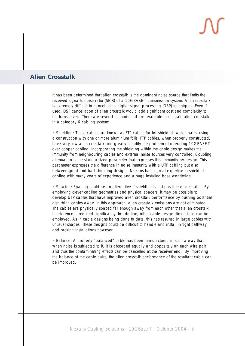### **Alien Crosstalk**

It has been determined that alien crosstalk is the dominant noise source that limits the received signal-to-noise ratio (SNR) of a 10GBASE-T transmission system. Alien crosstalk is extremely difficult to cancel using digital signal processing (DSP) techniques. Even if used, DSP cancellation of alien crosstalk would add significant cost and complexity to the transceiver. There are several methods that are available to mitigate alien crosstalk in a category 6 cabling system:

• Shielding: These cables are known as FTP cables for foil-shielded twisted-pairs, using a construction with one or more aluminium foils. FTP cables, when properly constructed, have very low alien crosstalk and greatly simplify the problem of operating 10GBASE-T over copper cabling. Incorporating the shielding within the cable design makes the immunity from neighbouring cables and external noise sources very controlled. Coupling attenuation is the standardized parameter that expresses this immunity by design. This parameter expresses the difference in noise immunity with a UTP cabling but also between good and bad shielding designs. Nexans has a great expertise in shielded cabling with many years of experience and a huge installed base worldwide.

• Spacing: Spacing could be an alternative if shielding is not possible or desirable. By employing clever cabling geometries and physical spacers, it may be possible to develop UTP cables that have improved alien crosstalk performance by pushing potential disturbing cables away. In this approach, alien crosstalk emissions are not eliminated. The cables are physically spaced far enough away from each other that alien crosstalk interference is reduced significantly. In addition, other cable design dimensions can be employed. As in cable designs being done to date, this has resulted in large cables with unusual shapes. These designs could be difficult to handle and install in tight pathway and racking installations however.

• Balance: A properly "balanced" cable has been manufactured in such a way that when noise is subjected to it, it is absorbed equally and oppositely on each wire pair and thus the contaminating effects can be cancelled at the receiver end. By improving the balance of the cable pairs, the alien crosstalk performance of the resultant cable can be improved.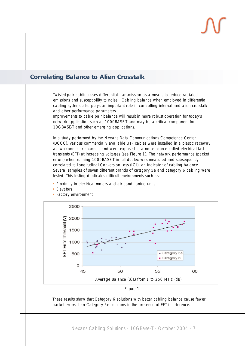### **Correlating Balance to Alien Crosstalk**

Twisted-pair cabling uses differential transmission as a means to reduce radiated emissions and susceptibility to noise. Cabling balance when employed in differential cabling systems also plays an important role in controlling internal and alien crosstalk and other performance parameters.

Improvements to cable pair balance will result in more robust operation for today's network application such as 1000BASE-T and may be a critical component for 10GBASE-T and other emerging applications.

In a study performed by the Nexans Data Communications Competence Center (DCCC), various commercially available UTP cables were installed in a plastic raceway as two-connector channels and were exposed to a noise source called electrical fast transients (EFT) at increasing voltages (see Figure 1). The network performance (packet errors) when running 1000BASE-T in full duplex was measured and subsequently correlated to Longitudinal Conversion Loss (LCL), an indicator of cabling balance. Several samples of seven different brands of category 5e and category 6 cabling were tested. This testing duplicates difficult environments such as:

- Proximity to electrical motors and air conditioning units
- Elevators



• Factory environment



These results show that Category 6 solutions with better cabling balance cause fewer packet errors than Category 5e solutions in the presence of EFT interference.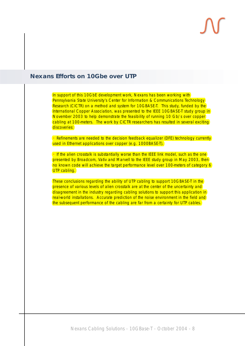### **Nexans Efforts on 10Gbe over UTP**

In support of this 10GbE development work, Nexans has been working with Pennsylvania State University's Center for Information & Communications Technology Research (CICTR) on a method and system for 10GBASE-T. This study, funded by the International Copper Association, was presented to the IEEE 10GBASE-T study group in November 2003 to help demonstrate the feasibility of running 10 Gb/s over copper cabling at 100-meters. The work by CICTR researchers has resulted in several exciting discoveries:

• Refinements are needed to the decision feedback equalizer (DFE) technology currently used in Ethernet applications over copper (e.g. 1000BASE-T).

• If the alien crosstalk is substantially worse than the IEEE link model, such as the one presented by Broadcom, Vativ and Marvell to the IEEE study group in May 2003, then no known code will achieve the target performance level over 100-meters of category 6 UTP cabling.

These conclusions regarding the ability of UTP cabling to support 10GBASE-T in the presence of various levels of alien crosstalk are at the center of the uncertainty and disagreement in the industry regarding cabling solutions to support this application in real-world installations. Accurate prediction of the noise environment in the field and the subsequent performance of the cabling are far from a certainty for UTP cables.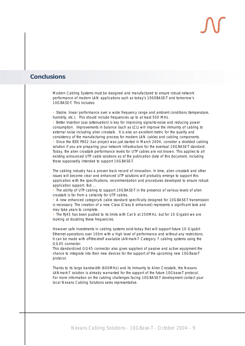### **Conclusions**

Modern Cabling Systems must be designed and manufactured to ensure robust network performance of modern LAN applications such as today's 1000BASE-T and tomorrow's 10GBASE-T. This includes:

• Stable, linear performance over a wide frequency range and ambient conditions (temperature, humidity, etc.). This should include frequencies up to at least 500 MHz.

• Better Insertion Loss (attenuation) is key for improving signal-to-noise and reducing power consumption. Improvements in balance (such as LCL) will improve the immunity of cabling to external noise including alien crosstalk. It is also an excellent metric for the quality and consistency of the manufacturing process for modern LAN cables and cabling components.

• Since the IEEE P802.3an project was just started in March 2004, consider a shielded cabling solution if you are preparing your network infrastructure for the eventual 10GBASE-T standard. Today, the alien crosstalk performance levels for UTP cables are not known. This applies to all existing announced UTP cable solutions as of the publication date of this document, including those supposedly intended to support 10GBASE-T.

The cabling industry has a proven track record of innovation. In time, alien crosstalk and other issues will become clear and enhanced UTP solutions will probably emerge to support this application with the specifications, recommendation and procedures developed to ensure robust application support. But ...

• The ability of UTP cabling to support 10GBASE-T in the presence of various levels of alien crosstalk is far from a certainty for UTP cables.

• A new enhanced category-6 cable standard specifically designed for 10GBASE-T transmission is necessary. The creation of a new Class (Class 6 enhanced) represents a significant task and may take years to complete.

• The RJ45 has been pushed to its limits with Cat 6 at 250MHz, but for 10 Gigabit we are looking at doubling these frequencies.

However safe investments in cabling systems exist today that will support future 10 Gigabit Ethernet operations over 100m with a high level of performance and without any restrictions. It can be made with off-the-shelf available LANmark-7 Category 7 cabling systems using the GG45 connector.

This standardized GG45 connector also gives suppliers of passive and active equipment the chance to integrate into their new devices for the support of the upcoming new 10GBase-T protocol.

Thanks to its large bandwidth (600MHz) and its immunity to Alien Crosstalk, the Nexans LANmark-7 solution is already warranted for the support of the future 10Gbase-T protocol. For more information on the cabling challenges facing 10GBASE-T development contact your local Nexans Cabling Solutions sales representative.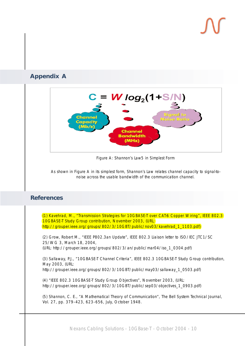### **Appendix A**



Figure A: Shannon's Law5 in Simplest Form

As shown in Figure A in its simplest form, Shannon's Law relates channel capacity to signal-tonoise across the usable bandwidth of the communication channel.

### **References**

(1) Kavehrad, M., "Transmission Strategies for 10GBASE-T over CAT-6 Copper Wiring", IEEE 802.3 10GBASE-T Study Group contribution, November 2003, (URL: http://grouper.ieee.org/groups/802/3/10GBT/public/nov03/kavehrad\_1\_1103.pdf)

(2) Grow, Robert M., "IEEE P802.3an Update", IEEE 802.3 Liaison letter to ISO/IEC JTC1/SC 25/WG 3, March 18, 2004,

(URL: http://grouper.ieee.org/groups/802/3/an/public/mar04/iso\_1\_0304.pdf)

(3) Sallaway, P.J., "10GBASE-T Channel Criteria", IEEE 802.3 10GBASE-T Study Group contribution, May 2003, (URL: http://grouper.ieee.org/groups/802/3/10GBT/public/may03/sallaway\_1\_0503.pdf)

(4) "IEEE 802.3 10GBASE-T Study Group Objectives", November 2003, (URL: http://grouper.jeee.org/groups/802/3/10GBT/public/sep03/objectives\_1\_0903.pdf)

(5) Shannon, C. E., "A Mathematical Theory of Communication", The Bell System Technical Journal, Vol. 27, pp. 379–423, 623–656, July, October 1948.